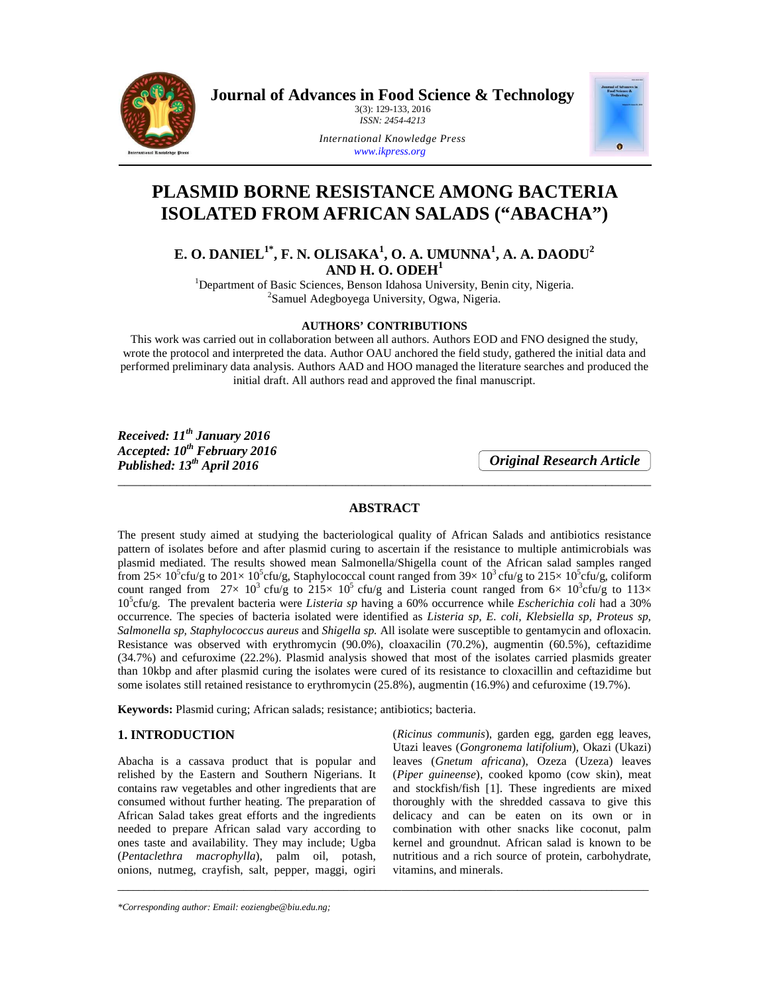

**Journal of Advances in Food Science & Technology** 

3(3): 129-133, 2016 *ISSN: 2454-4213* 



*International Knowledge Press www.ikpress.org*

# **PLASMID BORNE RESISTANCE AMONG BACTERIA ISOLATED FROM AFRICAN SALADS ("ABACHA")**

# **E. O. DANIEL1\*, F. N. OLISAKA<sup>1</sup> , O. A. UMUNNA<sup>1</sup> , A. A. DAODU<sup>2</sup> AND H. O. ODEH<sup>1</sup>**

<sup>1</sup>Department of Basic Sciences, Benson Idahosa University, Benin city, Nigeria. <sup>2</sup>Samuel Adegboyega University, Ogwa, Nigeria.

# **AUTHORS' CONTRIBUTIONS**

This work was carried out in collaboration between all authors. Authors EOD and FNO designed the study, wrote the protocol and interpreted the data. Author OAU anchored the field study, gathered the initial data and performed preliminary data analysis. Authors AAD and HOO managed the literature searches and produced the initial draft. All authors read and approved the final manuscript.

*Received: 11th January 2016 Accepted: 10th February 2016 Published: 13th April 2016* 

*Original Research Article*

# **ABSTRACT**

\_\_\_\_\_\_\_\_\_\_\_\_\_\_\_\_\_\_\_\_\_\_\_\_\_\_\_\_\_\_\_\_\_\_\_\_\_\_\_\_\_\_\_\_\_\_\_\_\_\_\_\_\_\_\_\_\_\_\_\_\_\_\_\_\_\_\_\_\_\_\_\_\_\_\_\_\_\_\_\_\_\_

The present study aimed at studying the bacteriological quality of African Salads and antibiotics resistance pattern of isolates before and after plasmid curing to ascertain if the resistance to multiple antimicrobials was plasmid mediated. The results showed mean Salmonella/Shigella count of the African salad samples ranged from  $25 \times 10^5$ cfu/g to  $201 \times 10^5$ cfu/g, Staphylococcal count ranged from  $39 \times 10^3$ cfu/g to  $215 \times 10^5$ cfu/g, coliform count ranged from  $27 \times 10^3$  cfu/g to  $215 \times 10^5$  cfu/g and Listeria count ranged from  $6 \times 10^3$ cfu/g to  $113 \times$ 10<sup>5</sup> cfu/g. The prevalent bacteria were *Listeria sp* having a 60% occurrence while *Escherichia coli* had a 30% occurrence. The species of bacteria isolated were identified as *Listeria sp, E. coli, Klebsiella sp, Proteus sp, Salmonella sp, Staphylococcus aureus* and *Shigella sp.* All isolate were susceptible to gentamycin and ofloxacin. Resistance was observed with erythromycin (90.0%), cloaxacilin (70.2%), augmentin (60.5%), ceftazidime (34.7%) and cefuroxime (22.2%). Plasmid analysis showed that most of the isolates carried plasmids greater than 10kbp and after plasmid curing the isolates were cured of its resistance to cloxacillin and ceftazidime but some isolates still retained resistance to erythromycin (25.8%), augmentin (16.9%) and cefuroxime (19.7%).

\_\_\_\_\_\_\_\_\_\_\_\_\_\_\_\_\_\_\_\_\_\_\_\_\_\_\_\_\_\_\_\_\_\_\_\_\_\_\_\_\_\_\_\_\_\_\_\_\_\_\_\_\_\_\_\_\_\_\_\_\_\_\_\_\_\_\_\_\_\_\_\_\_\_\_\_\_\_\_\_\_\_\_\_\_\_\_\_\_\_\_\_\_\_\_\_\_\_\_\_\_

**Keywords:** Plasmid curing; African salads; resistance; antibiotics; bacteria.

## **1. INTRODUCTION**

Abacha is a cassava product that is popular and relished by the Eastern and Southern Nigerians. It contains raw vegetables and other ingredients that are consumed without further heating. The preparation of African Salad takes great efforts and the ingredients needed to prepare African salad vary according to ones taste and availability. They may include; Ugba (*Pentaclethra macrophylla*), palm oil, potash, onions, nutmeg, crayfish, salt, pepper, maggi, ogiri (*Ricinus communis*), garden egg, garden egg leaves, Utazi leaves (*Gongronema latifolium*), Okazi (Ukazi) leaves (*Gnetum africana*), Ozeza (Uzeza) leaves (*Piper guineense*), cooked kpomo (cow skin), meat and stockfish/fish [1]. These ingredients are mixed thoroughly with the shredded cassava to give this delicacy and can be eaten on its own or in combination with other snacks like coconut, palm kernel and groundnut. African salad is known to be nutritious and a rich source of protein, carbohydrate, vitamins, and minerals.

*\*Corresponding author: Email: eoziengbe@biu.edu.ng;*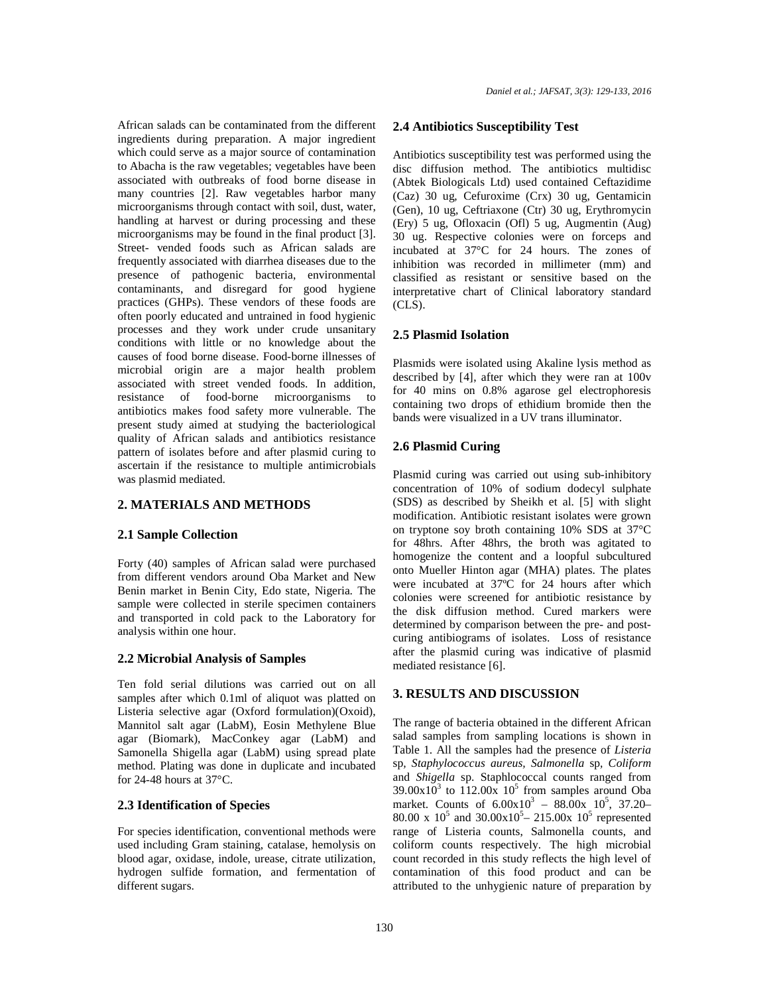African salads can be contaminated from the different ingredients during preparation. A major ingredient which could serve as a major source of contamination to Abacha is the raw vegetables; vegetables have been associated with outbreaks of food borne disease in many countries [2]. Raw vegetables harbor many microorganisms through contact with soil, dust, water, handling at harvest or during processing and these microorganisms may be found in the final product [3]. Street- vended foods such as African salads are frequently associated with diarrhea diseases due to the presence of pathogenic bacteria, environmental contaminants, and disregard for good hygiene practices (GHPs). These vendors of these foods are often poorly educated and untrained in food hygienic processes and they work under crude unsanitary conditions with little or no knowledge about the causes of food borne disease. Food-borne illnesses of microbial origin are a major health problem associated with street vended foods. In addition, resistance of food-borne microorganisms to antibiotics makes food safety more vulnerable. The present study aimed at studying the bacteriological quality of African salads and antibiotics resistance pattern of isolates before and after plasmid curing to ascertain if the resistance to multiple antimicrobials was plasmid mediated.

## **2. MATERIALS AND METHODS**

#### **2.1 Sample Collection**

Forty (40) samples of African salad were purchased from different vendors around Oba Market and New Benin market in Benin City, Edo state, Nigeria. The sample were collected in sterile specimen containers and transported in cold pack to the Laboratory for analysis within one hour.

#### **2.2 Microbial Analysis of Samples**

Ten fold serial dilutions was carried out on all samples after which 0.1ml of aliquot was platted on Listeria selective agar (Oxford formulation)(Oxoid), Mannitol salt agar (LabM), Eosin Methylene Blue agar (Biomark), MacConkey agar (LabM) and Samonella Shigella agar (LabM) using spread plate method. Plating was done in duplicate and incubated for 24-48 hours at 37°C.

#### **2.3 Identification of Species**

For species identification, conventional methods were used including Gram staining, catalase, hemolysis on blood agar, oxidase, indole, urease, citrate utilization, hydrogen sulfide formation, and fermentation of different sugars.

#### **2.4 Antibiotics Susceptibility Test**

Antibiotics susceptibility test was performed using the disc diffusion method. The antibiotics multidisc (Abtek Biologicals Ltd) used contained Ceftazidime (Caz) 30 ug, Cefuroxime (Crx) 30 ug, Gentamicin (Gen), 10 ug, Ceftriaxone (Ctr) 30 ug, Erythromycin (Ery) 5 ug, Ofloxacin (Ofl) 5 ug, Augmentin (Aug) 30 ug. Respective colonies were on forceps and incubated at 37°C for 24 hours. The zones of inhibition was recorded in millimeter (mm) and classified as resistant or sensitive based on the interpretative chart of Clinical laboratory standard  $(CLS)$ .

#### **2.5 Plasmid Isolation**

Plasmids were isolated using Akaline lysis method as described by [4], after which they were ran at 100v for 40 mins on 0.8% agarose gel electrophoresis containing two drops of ethidium bromide then the bands were visualized in a UV trans illuminator.

### **2.6 Plasmid Curing**

Plasmid curing was carried out using sub-inhibitory concentration of 10% of sodium dodecyl sulphate (SDS) as described by Sheikh et al. [5] with slight modification. Antibiotic resistant isolates were grown on tryptone soy broth containing 10% SDS at 37°C for 48hrs. After 48hrs, the broth was agitated to homogenize the content and a loopful subcultured onto Mueller Hinton agar (MHA) plates. The plates were incubated at 37ºC for 24 hours after which colonies were screened for antibiotic resistance by the disk diffusion method. Cured markers were determined by comparison between the pre- and postcuring antibiograms of isolates. Loss of resistance after the plasmid curing was indicative of plasmid mediated resistance [6].

### **3. RESULTS AND DISCUSSION**

The range of bacteria obtained in the different African salad samples from sampling locations is shown in Table 1. All the samples had the presence of *Listeria*  sp*, Staphylococcus aureus, Salmonella* sp*, Coliform*  and *Shigella* sp. Staphlococcal counts ranged from  $39.00 \times 10^3$  to  $112.00 \times 10^5$  from samples around Oba market. Counts of  $6.00 \times 10^3 - 88.00 \times 10^5$ , 37.20-80.00 x  $10^5$  and  $30.00 \times 10^5 - 215.00 \times 10^5$  represented range of Listeria counts, Salmonella counts, and coliform counts respectively. The high microbial count recorded in this study reflects the high level of contamination of this food product and can be attributed to the unhygienic nature of preparation by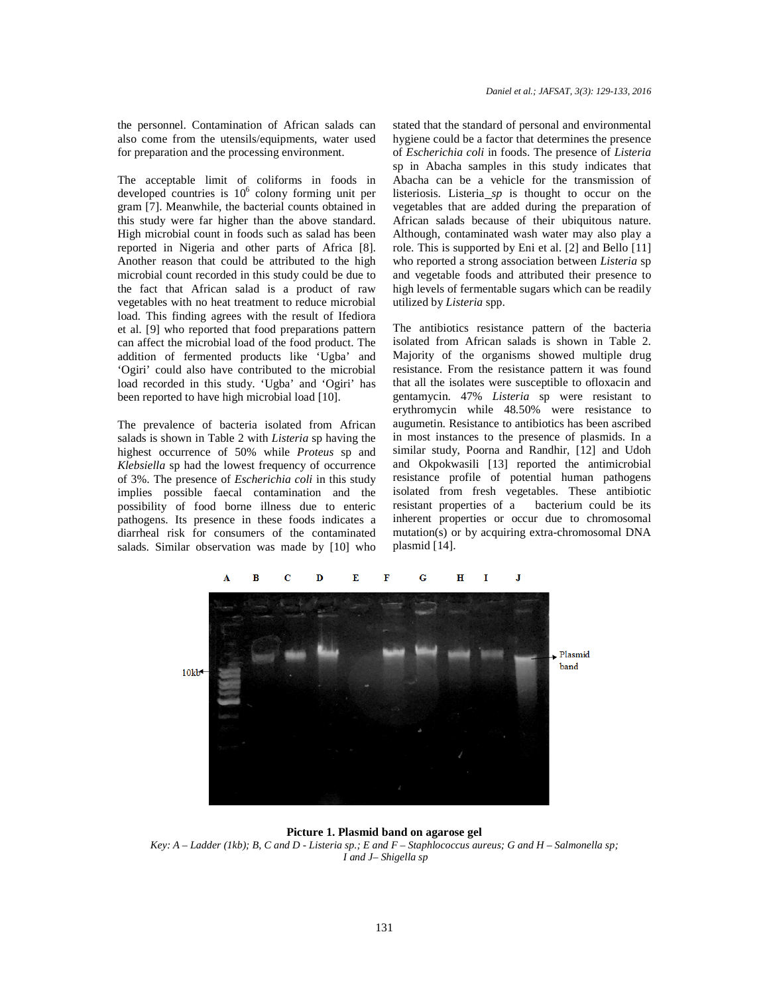the personnel. Contamination of African salads can also come from the utensils/equipments, water used for preparation and the processing environment.

The acceptable limit of coliforms in foods in developed countries is  $10^6$  colony forming unit per gram [7]. Meanwhile, the bacterial counts obtained in this study were far higher than the above standard. High microbial count in foods such as salad has been reported in Nigeria and other parts of Africa [8]. Another reason that could be attributed to the high microbial count recorded in this study could be due to the fact that African salad is a product of raw vegetables with no heat treatment to reduce microbial load. This finding agrees with the result of Ifediora et al. [9] who reported that food preparations pattern can affect the microbial load of the food product. The addition of fermented products like 'Ugba' and 'Ogiri' could also have contributed to the microbial load recorded in this study. 'Ugba' and 'Ogiri' has been reported to have high microbial load [10].

The prevalence of bacteria isolated from African salads is shown in Table 2 with *Listeria* sp having the highest occurrence of 50% while *Proteus* sp and *Klebsiella* sp had the lowest frequency of occurrence of 3%. The presence of *Escherichia coli* in this study implies possible faecal contamination and the possibility of food borne illness due to enteric pathogens. Its presence in these foods indicates a diarrheal risk for consumers of the contaminated salads. Similar observation was made by [10] who stated that the standard of personal and environmental hygiene could be a factor that determines the presence of *Escherichia coli* in foods. The presence of *Listeria*  sp in Abacha samples in this study indicates that Abacha can be a vehicle for the transmission of listeriosis. Listeria *sp* is thought to occur on the vegetables that are added during the preparation of African salads because of their ubiquitous nature. Although, contaminated wash water may also play a role. This is supported by Eni et al. [2] and Bello [11] who reported a strong association between *Listeria* sp and vegetable foods and attributed their presence to high levels of fermentable sugars which can be readily utilized by *Listeria* spp.

The antibiotics resistance pattern of the bacteria isolated from African salads is shown in Table 2. Majority of the organisms showed multiple drug resistance. From the resistance pattern it was found that all the isolates were susceptible to ofloxacin and gentamycin. 47% *Listeria* sp were resistant to erythromycin while 48.50% were resistance to augumetin. Resistance to antibiotics has been ascribed in most instances to the presence of plasmids. In a similar study, Poorna and Randhir, [12] and Udoh and Okpokwasili [13] reported the antimicrobial resistance profile of potential human pathogens isolated from fresh vegetables. These antibiotic resistant properties of a bacterium could be its inherent properties or occur due to chromosomal mutation(s) or by acquiring extra-chromosomal DNA plasmid [14].



**Picture 1. Plasmid band on agarose gel**  *Key: A – Ladder (1kb); B, C and D - Listeria sp.; E and F – Staphlococcus aureus; G and H – Salmonella sp; I and J– Shigella sp*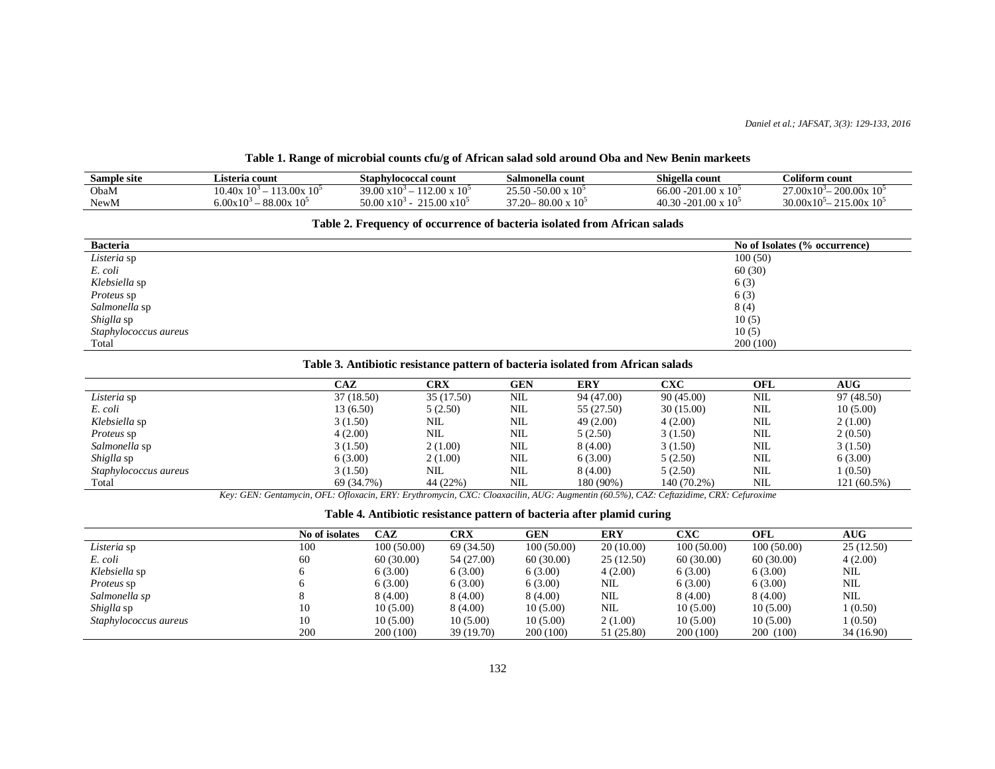## **Table 1. Range of microbial counts cfu/g of African salad sold around Oba and New Benin markeets**

| Sample site | Listeria count                                         | $\sim$<br>Staphylococcal count                    | Salmonella count                | Shigella count                              | Coliform count                    |
|-------------|--------------------------------------------------------|---------------------------------------------------|---------------------------------|---------------------------------------------|-----------------------------------|
| ObaM        | 13.00x10<br>10.40x<br>10 <sup>3</sup>                  | $12.00 \times 10^5$<br>$\mathbf{10}$<br>39.00.    | $\sim$<br>50.00<br>ኅኛ ኛጡ<br>-10 | -201.00<br>66.00<br>$\times 10^5$           | 200.00x<br>$\sim$<br>$27.00x10^3$ |
| NewM        | $\alpha$<br>88.00x<br>$10^{\circ}$<br>$-10$<br>$00x_1$ | $\overline{10}$<br>$15.00 \times 10^{5}$<br>50.00 | 80.00<br>$37.20 -$              | 40.3c<br>$\chi$ 10 <sup>5</sup><br>ഹ<br>201 | $\sim$<br>20.00x<br>15.00x<br>10ء |

#### **Table 2. Frequency of occurrence of bacteria isolated from African salads**

| <b>Bacteria</b>       | No of Isolates (% occurrence) |
|-----------------------|-------------------------------|
| Listeria sp           | 100(50)                       |
| E. coli               | 60(30)                        |
| Klebsiella sp         | 6(3)                          |
| <i>Proteus</i> sp     | 6(3)                          |
| Salmonella sp         | 8(4)                          |
| Shiglla sp            | 10(5)                         |
| Staphylococcus aureus | 10(5)                         |
| Total                 | 200(100)                      |

#### **Table 3. Antibiotic resistance pattern of bacteria isolated from African salads**

|                       | CAZ        | CRX        | GEN        | <b>ERY</b> | CXC         | OFL        | $\mathbf{A}\mathbf{U}\mathbf{G}$ |
|-----------------------|------------|------------|------------|------------|-------------|------------|----------------------------------|
| Listeria sp           | 37 (18.50) | 35 (17.50) | NIL        | 94 (47.00) | 90(45.00)   | NIL        | 97 (48.50)                       |
| E. coli               | 13 (6.50)  | 5(2.50)    | NIL        | 55 (27.50) | 30(15.00)   | <b>NIL</b> | 10(5.00)                         |
| Klebsiella sp         | 3(1.50)    | NIL        | NIL        | 49(2.00)   | 4(2.00)     | NIL        | 2(1.00)                          |
| <i>Proteus</i> sp     | 4(2.00)    | NIL        | NIL        | 5(2.50)    | 3(1.50)     | NIL        | 2(0.50)                          |
| Salmonella sp         | 3(1.50)    | 2(1.00)    | NIL        | 8(4.00)    | 3(1.50)     | NIL        | 3(1.50)                          |
| Shiglla sp            | 6(3.00)    | 2(1.00)    | <b>NIL</b> | 6(3.00)    | 5(2.50)     | NIL        | 6(3.00)                          |
| Staphylococcus aureus | 3(1.50)    | NIL        | NIL        | 8 (4.00)   | 5(2.50)     | NIL        | 1(0.50)                          |
| Total                 | 69 (34.7%) | 44 (22%)   | NIL        | 180 (90%)  | 140 (70.2%) | <b>NIL</b> | 121 (60.5%)                      |

*Key: GEN: Gentamycin, OFL: Ofloxacin, ERY: Erythromycin, CXC: Cloaxacilin, AUG: Augmentin (60.5%), CAZ: Ceftazidime, CRX: Cefuroxime* 

| Table 4. Antibiotic resistance pattern of bacteria after plamid curing |  |  |
|------------------------------------------------------------------------|--|--|
|                                                                        |  |  |

|                       | No of isolates | CAZ        | CRX        | GEN        | <b>ERY</b> | CXC        | OFL        | $\mathbf{A}\mathbf{U}\mathbf{G}$ |
|-----------------------|----------------|------------|------------|------------|------------|------------|------------|----------------------------------|
| Listeria sp           | 100            | 100(50.00) | 69 (34.50) | 100(50.00) | 20(10.00)  | 100(50.00) | 100(50.00) | 25(12.50)                        |
| E. coli               | 60             | 60(30.00)  | 54 (27.00) | 60(30.00)  | 25(12.50)  | 60(30.00)  | 60(30.00)  | 4(2.00)                          |
| Klebsiella sp         |                | 6(3.00)    | 6(3.00)    | 6(3.00)    | 4(2.00)    | 6(3.00)    | 6(3.00)    | NIL                              |
| <i>Proteus</i> sp     |                | 6(3.00)    | 6(3.00)    | 6(3.00)    | NIL        | 6(3.00)    | 6(3.00)    | <b>NIL</b>                       |
| Salmonella sp         |                | 8 (4.00)   | 8 (4.00)   | 8(4.00)    | NIL        | 8(4.00)    | 8(4.00)    | NIL                              |
| Shiglla sp            | 10             | 10(5.00)   | 8 (4.00)   | 10(5.00)   | NIL.       | 10(5.00)   | 10(5.00)   | 1(0.50)                          |
| Staphylococcus aureus | 10             | 10(5.00)   | 10(5.00)   | 10(5.00)   | 2(1.00)    | 10(5.00)   | 10(5.00)   | 1(0.50)                          |
|                       | 200            | 200 (100)  | 39 (19.70) | 200 (100)  | 51 (25.80) | 200 (100)  | 200 (100)  | 34 (16.90)                       |